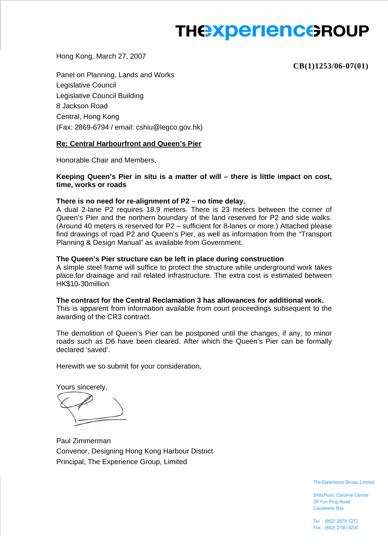# **THE EXPERIENCE ROUP**

Hong Kong, March 27, 2007

**CB(1)1253/06-07(01)**

Panel on Planning, Lands and Works Legislative Council Legislative Council Building 8 Jackson Road Central, Hong Kong (Fax: 2869-6794 / email: cshiu@legco.gov.hk)

## **Re: Central Harbourfront and Queen's Pier**

Honorable Chair and Members,

**Keeping Queen's Pier in situ is a matter of will – there is little impact on cost, time, works or roads** 

### **There is no need for re-alignment of P2 – no time delay.**

A dual 2-lane P2 requires 18.9 meters. There is 23 meters between the corner of Queen's Pier and the northern boundary of the land reserved for P2 and side walks. (Around 40 meters is reserved for P2 – sufficient for 8-lanes or more.) Attached please find drawings of road P2 and Queen's Pier, as well as information from the "Transport Planning & Design Manual" as available from Government.

### **The Queen's Pier structure can be left in place during construction**

A simple steel frame will suffice to protect the structure while underground work takes place.for drainage and rail related infrastructure. The extra cost is estimated between HK\$10-30million.

#### **The contract for the Central Reclamation 3 has allowances for additional work.**

This is apparent from information available from court proceedings subsequent to the awarding of the CR3 contract.

The demolition of Queen's Pier can be postponed until the changes, if any, to minor roads such as D6 have been cleared. After which the Queen's Pier can be formally declared 'saved'.

Herewith we so submit for your consideration,

Yours sincerely,

Paul Zimmerman Convenor, Designing Hong Kong Harbour District Principal, The Experience Group, Limited

The Experience Group, Limited

24th Floor, Caroline Centre 28 Yun Ping Road Causeway Bay

Tel (852) 2878 7272 Fax (852) 2180 9200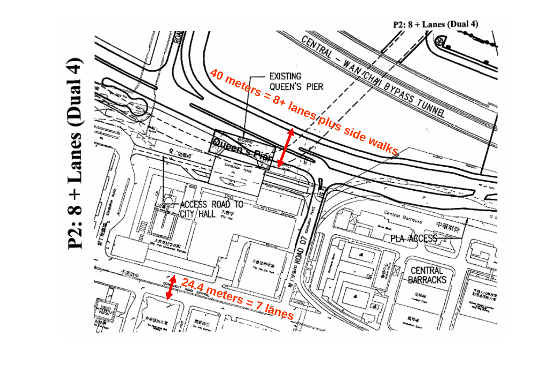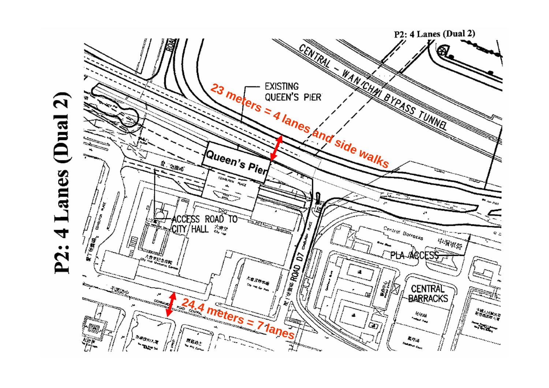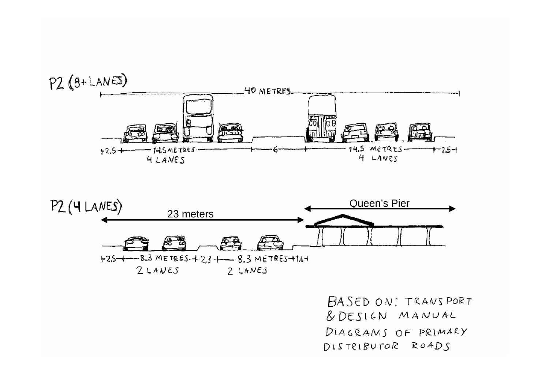



BASED ON: TRANSPORT & DESIGN MANUAL DIAGRAMS OF PRIMARY DISTRIBUTOR ROADS